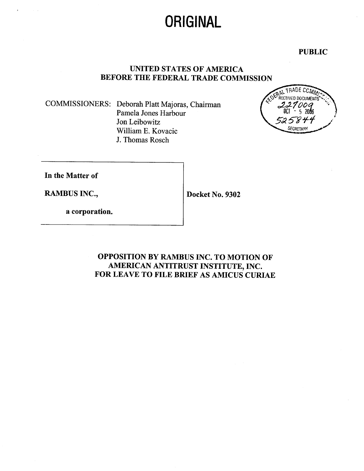# ORIGINAL

PUBLIC

## UNITED STATES OF AMERICA BEFORE THE FEDERAL TRADE COMMISSION

COMMISSIONERS: Deborah Platt Majoras, Chairman Pamela Jones Harbour Jon Leibowitz Wiliam E. Kovacic J. Thomas Rosch



In the Matter of

RAMBUS INC., Docket No. 9302

a corporation.

OPPOSITION BY RAMBUS INC. TO MOTION OF AMERICAN ANTITRUST INSTITUTE, INC. FOR LEAVE TO FILE BRIEF AS AMICUS CURIAE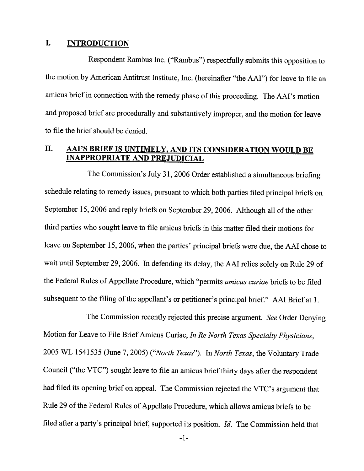#### I. **INTRODUCTION**

Respondent Rambus Inc. ("Rambus") respectfully submits this opposition to the motion by American Antitrust Institute, Inc. (hereinafter "the AAI") for leave to file an amicus brief in connection with the remedy phase of this proceeding. The AAI's motion and proposed brief are procedurally and substantively improper, and the motion for leave to fie the brief should be denied.

# II. AAI'S BRIEF IS UNTIMELY. AND ITS CONSIDERATION WOULD BE INAPPROPRIATE AND PREJUDICIAL

The Commission's July 31, 2006 Order established a simultaneous briefing schedule relating to remedy issues, pursuant to which both parties fied principal briefs September 15, 2006 and reply briefs on September 29, 2006. Although all of the other third paries who sought leave to file amicus briefs in this matter fied their motions for leave on September 15, 2006, when the parties' principal briefs were due, the AAI chose to wait until September 29, 2006. In defending its delay, the AAI relies solely on Rule 29 of the Federal Rules of Appellate Procedure, which "permits *amicus curiae* briefs to be filed subsequent to the filing of the appellant's or petitioner's principal brief." AAI Brief at 1.

The Commission recently rejected this precise argument. See Order Denying Motion for Leave to File Brief Amicus Curiae, In Re North Texas Specialty Physicians, 2005 WL 1541535 (June 7, 2005) ("North Texas"). In North Texas, the Voluntary Trade Council ("the VTC") sought leave to file an amicus brief thirty days after the respondent had filed its opening brief on appeal. The Commission rejected the VTC's argument that Rule 29 of the Federal Rules of Appellate Procedure, which allows amicus briefs to be filed after a party's principal brief, supported its position. Id. The Commission held that

 $-1-$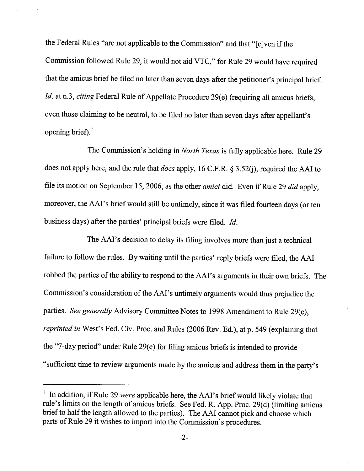the Federal Rules "are not applicable to the Commission" and that "(eJven if the Commission followed Rule 29, it would not aid VTC," for Rule 29 would have required that the amicus brief be filed no later than seven days after the petitioner's principal brief. Id. at n.3, citing Federal Rule of Appellate Procedure 29(e) (requiring all amicus briefs, even those claiming to be neutral, to be filed no later than seven days after appellant' opening brief). $^{1}$ 

The Commission's holding in North Texas is fully applicable here. Rule 29 does not apply here, and the rule that *does* apply, 16 C.F.R.  $\S 3.52(i)$ , required the AAI to file its motion on September 15, 2006, as the other *amici* did. Even if Rule 29 *did* apply, moreover, the AAI's brief would still be untimely, since it was filed fourteen days (or ten business days) after the parties' principal briefs were filed. *Id*.

The AAI's decision to delay its filing involves more than just a technical failure to follow the rules. By waiting until the parties' reply briefs were filed, the AAI robbed the parties of the abilty to respond to the AAI's arguments in their own briefs. The Commission's consideration of the AAI's untimely arguments would thus prejudice the parties. See generally Advisory Committee Notes to 1998 Amendment to Rule 29(e), reprinted in West's Fed. Civ. Proc. and Rules (2006 Rev. Ed.), at p. 549 (explaining that the "7-day period" under Rule 29(e) for filing amicus briefs is intended to provide "sufficient time to review arguments made by the amicus and address them in the party's

<sup>&</sup>lt;sup>1</sup> In addition, if Rule 29 were applicable here, the AAI's brief would likely violate that rule's limits on the length of amicus briefs. See Fed. R. App. Proc. 29(d) (limiting amicus brief to half the length allowed to the paries). The AAI cannot pick and choose which parts of Rule 29 it wishes to import into the Commission's procedures.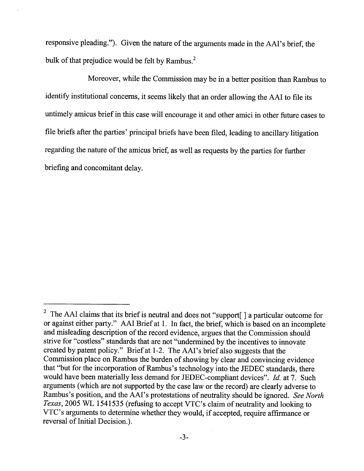responsive pleading."). Given the nature of the arguments made in the AAI's brief, the bulk of that prejudice would be felt by Rambus.

Moreover, while the Commission may be in a better position than Rambus to identify institutional concerns, it seems likely that an order allowing the AAI to file its untimely amicus brief in this case will encourage it and other amici in other future cases to file briefs after the parties' principal briefs have been filed, leading to ancillary litigation regarding the nature of the amicus brief, as well as requests by the parties for further briefing and concomitant delay.

<sup>&</sup>lt;sup>2</sup> The AAI claims that its brief is neutral and does not "support[] a particular outcome for or against either party." AAI Brief at 1. In fact, the brief, which is based on an incomplete and misleading description of the record evidence, argues that the Commission should strive for "costless" standards that are not "undermned by the incentives to innovate created by patent policy." Brief at 1-2. The AAI's brief also suggests that the Commission place on Rambus the burden of showing by clear and convincing evidence that "but for the incorporation of Rambus's technology into the JEDEC standards, there would have been materially less demand for JEDEC-compliant devices".  $Id$ . at 7. Such arguments (which are not supported by the case law or the record) are clearly adverse to Rambus's position, and the AAI's protestations of neutrality should be ignored. See North Texas, 2005 WL 1541535 (refusing to accept VTC's claim of neutrality and looking to VTC's arguments to determine whether they would, if accepted, require affirmance or reversal of Initial Decision.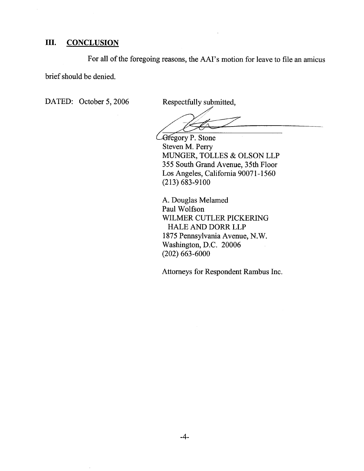# III. CONCLUSION

For all of the foregoing reasons, the AAI's motion for leave to file an amicus

brief should be denied.

DATED: October 5, 2006 Respectfully submitted,

**C**Gregory P. Stone Steven M. Perr MUNGER, TOLLES & OLSON LLP 355 South Grand Avenue, 35th Floor Los Angeles, California 90071-1560 (213) 683-9100

A. Douglas Melamed Paul Wolfson WILMER CUTLER PICKERING HALE AND DORR LLP 1875 Pennsylvania Avenue, N.W. Washington, D.C. 20006 (202) 663-6000

Attorneys for Respondent Rambus Inc.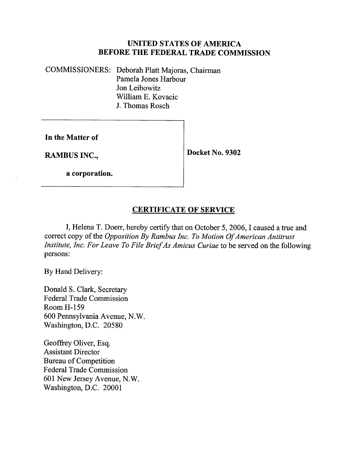#### UNITED STATES OF AMERICA BEFORE THE FEDERAL TRADE COMMISSION

COMMISSIONERS: Deborah Platt Majoras, Chairman Pamela Jones Harbour Jon Leibowitz Wiliam E. Kovacic J. Thomas Rosch

In the Matter of

RAMBUS INC.,  $\vert$  Docket No. 9302

a corporation.

## CERTIFICATE OF SERVICE

I, Helena T. Doerr, hereby certify that on October 5, 2006, I caused a true and correct copy of the *Opposition By Rambus Inc. To Motion Of American Antitrust* Institute, Inc. For Leave To File Brief As Amicus Curiae to be served on the following persons:

By Hand Delivery:

Donald S. Clark, Secretary Federal Trade Commission Room H- 159 600 Pennsylvania Avenue, N. Washington, D.C. 20580

Geoffrey Oliver, Esq. Assistant Director Bureau of Competition Federal Trade Commission 601 New Jersey Avenue, N. Washington, D.C. 20001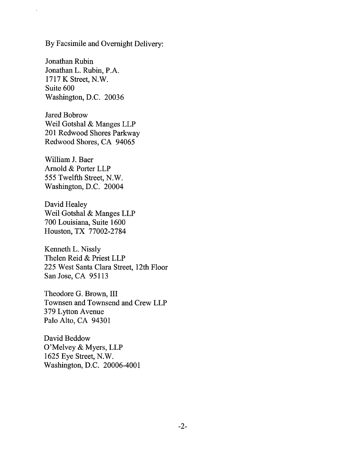By Facsimile and Overnight Delivery:

Jonathan Rubin Jonathan L. Rubin, P. 1717 K Street, N. Suite 600 Washington, D.C. 20036

Jared Bobrow Weil Gotshal & Manges LLP 201 Redwood Shores Parkway Redwood Shores, CA 94065

Wiliam J. Baer Arnold & Porter LLP 555 Twelfth Street, N. Washington, D.C. 20004

David Healey Weil Gotshal & Manges LLP 700 Louisiana, Suite 1600 Houston, TX 77002-2784

Kenneth L. Nissly Thelen Reid & Priest LLP 225 West Santa Clara Street, 12th Floor San Jose, CA 95113

Theodore G. Brown, III Townsen and Townsend and Crew LLP 379 Lyton Avenue Palo Alto, CA 94301

David Beddow O'Melvey & Myers, LLP 1625 Eye Street, N. Washington, D.C. 20006-4001